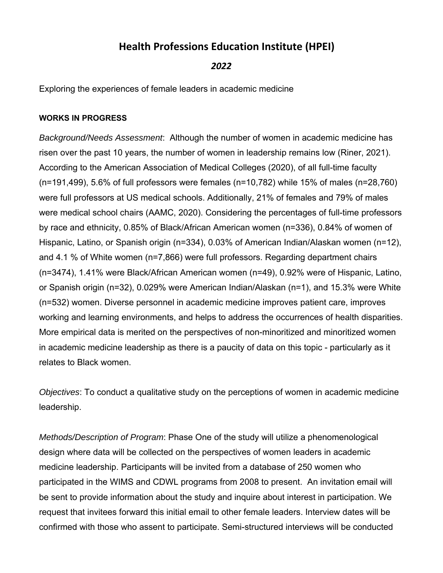## **Health Professions Education Institute (HPEI)**

## *2022*

Exploring the experiences of female leaders in academic medicine

## **WORKS IN PROGRESS**

*Background/Needs Assessment*: Although the number of women in academic medicine has risen over the past 10 years, the number of women in leadership remains low (Riner, 2021). According to the American Association of Medical Colleges (2020), of all full-time faculty (n=191,499), 5.6% of full professors were females (n=10,782) while 15% of males (n=28,760) were full professors at US medical schools. Additionally, 21% of females and 79% of males were medical school chairs (AAMC, 2020). Considering the percentages of full-time professors by race and ethnicity, 0.85% of Black/African American women (n=336), 0.84% of women of Hispanic, Latino, or Spanish origin (n=334), 0.03% of American Indian/Alaskan women (n=12), and 4.1 % of White women (n=7,866) were full professors. Regarding department chairs (n=3474), 1.41% were Black/African American women (n=49), 0.92% were of Hispanic, Latino, or Spanish origin (n=32), 0.029% were American Indian/Alaskan (n=1), and 15.3% were White (n=532) women. Diverse personnel in academic medicine improves patient care, improves working and learning environments, and helps to address the occurrences of health disparities. More empirical data is merited on the perspectives of non-minoritized and minoritized women in academic medicine leadership as there is a paucity of data on this topic - particularly as it relates to Black women.

*Objectives*: To conduct a qualitative study on the perceptions of women in academic medicine leadership.

*Methods/Description of Program*: Phase One of the study will utilize a phenomenological design where data will be collected on the perspectives of women leaders in academic medicine leadership. Participants will be invited from a database of 250 women who participated in the WIMS and CDWL programs from 2008 to present. An invitation email will be sent to provide information about the study and inquire about interest in participation. We request that invitees forward this initial email to other female leaders. Interview dates will be confirmed with those who assent to participate. Semi-structured interviews will be conducted